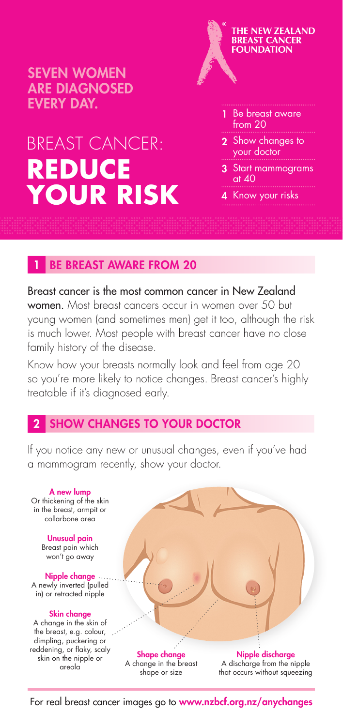SEVEN WOMEN ARE DIAGNOSED EVERY DAY.

# BREAST CANCER: **REDUCE YOUR RISK**



- 2 Show changes to your doctor
- 3 Start mammograms  $at 40$
- 4 Know your risks

**BE BREAST AWARE FROM 20** 

Breast cancer is the most common cancer in New Zealand women. Most breast cancers occur in women over 50 but young women (and sometimes men) get it too, although the risk is much lower. Most people with breast cancer have no close family history of the disease.

Know how your breasts normally look and feel from age 20 so you're more likely to notice changes. Breast cancer's highly treatable if it's diagnosed early.

## **SHOW CHANGES TO YOUR DOCTOR**

If you notice any new or unusual changes, even if you've had a mammogram recently, show your doctor.



For real breast cancer images go to www.nzbcf.org.nz/anychanges